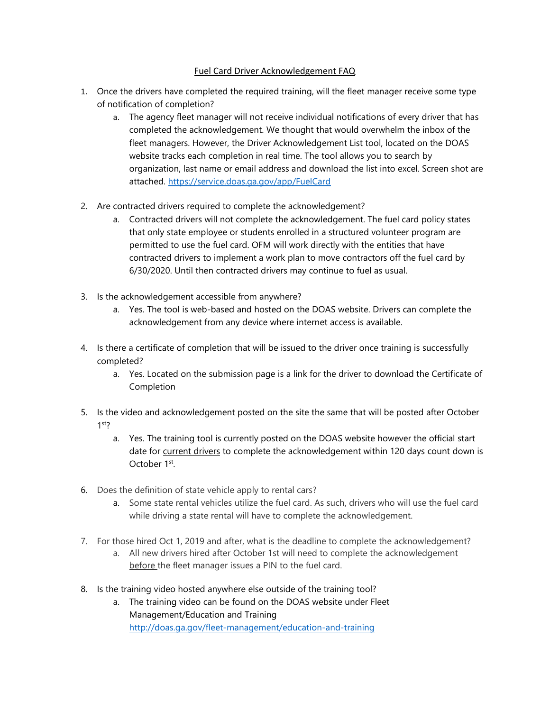## Fuel Card Driver Acknowledgement FAQ

- 1. Once the drivers have completed the required training, will the fleet manager receive some type of notification of completion?
	- a. The agency fleet manager will not receive individual notifications of every driver that has completed the acknowledgement. We thought that would overwhelm the inbox of the fleet managers. However, the Driver Acknowledgement List tool, located on the DOAS website tracks each completion in real time. The tool allows you to search by organization, last name or email address and download the list into excel. Screen shot are attached.<https://service.doas.ga.gov/app/FuelCard>
- 2. Are contracted drivers required to complete the acknowledgement?
	- a. Contracted drivers will not complete the acknowledgement. The fuel card policy states that only state employee or students enrolled in a structured volunteer program are permitted to use the fuel card. OFM will work directly with the entities that have contracted drivers to implement a work plan to move contractors off the fuel card by 6/30/2020. Until then contracted drivers may continue to fuel as usual.
- 3. Is the acknowledgement accessible from anywhere?
	- a. Yes. The tool is web-based and hosted on the DOAS website. Drivers can complete the acknowledgement from any device where internet access is available.
- 4. Is there a certificate of completion that will be issued to the driver once training is successfully completed?
	- a. Yes. Located on the submission page is a link for the driver to download the Certificate of Completion
- 5. Is the video and acknowledgement posted on the site the same that will be posted after October 1st?
	- a. Yes. The training tool is currently posted on the DOAS website however the official start date for current drivers to complete the acknowledgement within 120 days count down is October 1st.
- 6. Does the definition of state vehicle apply to rental cars?
	- a. Some state rental vehicles utilize the fuel card. As such, drivers who will use the fuel card while driving a state rental will have to complete the acknowledgement.
- 7. For those hired Oct 1, 2019 and after, what is the deadline to complete the acknowledgement?
	- a. All new drivers hired after October 1st will need to complete the acknowledgement before the fleet manager issues a PIN to the fuel card.
- 8. Is the training video hosted anywhere else outside of the training tool?
	- a. The training video can be found on the DOAS website under Fleet Management/Education and Training <http://doas.ga.gov/fleet-management/education-and-training>